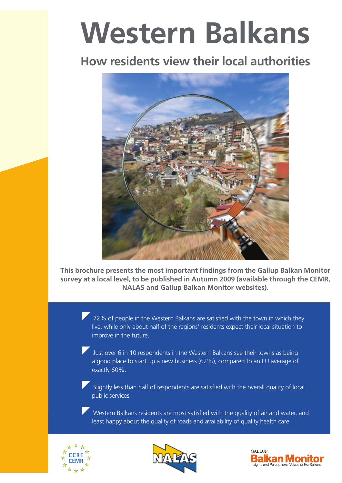# **Western Balkans**

# **How residents view their local authorities**



**This brochure presents the most important findings from the Gallup Balkan Monitor survey at a local level, to be published in Autumn 2009 (available through the CEMR, NALAS and Gallup Balkan Monitor websites).** 

> 72% of people in the Western Balkans are satisfied with the town in which they live, while only about half of the regions' residents expect their local situation to improve in the future.

Just over 6 in 10 respondents in the Western Balkans see their towns as being a good place to start up a new business (62%), compared to an EU average of exactly 60%.

Slightly less than half of respondents are satisfied with the overall quality of local public services.

Western Balkans residents are most satisfied with the quality of air and water, and least happy about the quality of roads and availability of quality health care.





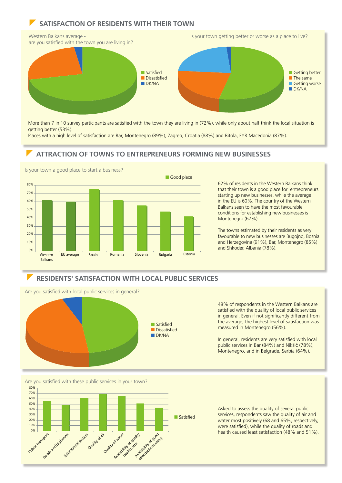# **SATISFACTION OF RESIDENTS WITH THEIR TOWN**



More than 7 in 10 survey participants are satisfied with the town they are living in (72%), while only about half think the local situation is getting better (53%).

Places with a high level of satisfaction are Bar, Montenegro (89%), Zagreb, Croatia (88%) and Bitola, FYR Macedonia (87%).

### z **ATTRACTION OF TOWNS TO ENTREPRENEURS FORMING NEW BUSINESSES**



Is your town a good place to start a business?

62% of residents in the Western Balkans think that their town is a good place for entrepreneurs starting up new businesses, while the average in the EU is 60%. The country of the Western Balkans seen to have the most favourable conditions for establishing new businesses is Montenegro (67%).

The towns estimated by their residents as very favourable to new businesses are Bugojno, Bosnia and Herzegovina (91%), Bar, Montenegro (85%) and Shkoder, Albania (78%).

### z **RESIDENTS' SATISFACTION WITH LOCAL PUBLIC SERVICES**

Are you satisfied with local public services in general?



48% of respondents in the Western Balkans are satisfied with the quality of local public services in general. Even if not significantly different from the average, the highest level of satisfaction was measured in Montenegro (56%).

In general, residents are very satisfied with local public services in Bar (84%) and Nikšić (78%), Montenegro, and in Belgrade, Serbia (64%).

Are you satisfied with these public services in your town?



Asked to assess the quality of several public services, respondents saw the quality of air and water most positively (68 and 65%, respectively, were satisfied), while the quality of roads and health caused least satisfaction (48% and 51%).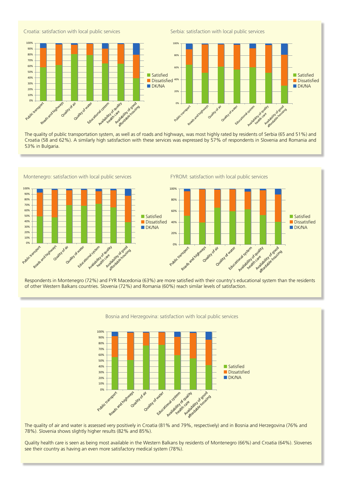

The quality of public transportation system, as well as of roads and highways, was most highly rated by residents of Serbia (65 and 51%) and Croatia (58 and 62%). A similarly high satisfaction with these services was expressed by 57% of respondents in Slovenia and Romania and 53% in Bulgaria.



Respondents in Montenegro (72%) and FYR Macedonia (63%) are more satisfied with their country's educational system than the residents of other Western Balkans countries. Slovenia (72%) and Romania (60%) reach similar levels of satisfaction.





The quality of air and water is assessed very positively in Croatia (81% and 79%, respectively) and in Bosnia and Herzegovina (76% and 78%). Slovenia shows slightly higher results (82% and 85%).

Quality health care is seen as being most available in the Western Balkans by residents of Montenegro (66%) and Croatia (64%). Slovenes see their country as having an even more satisfactory medical system (78%).